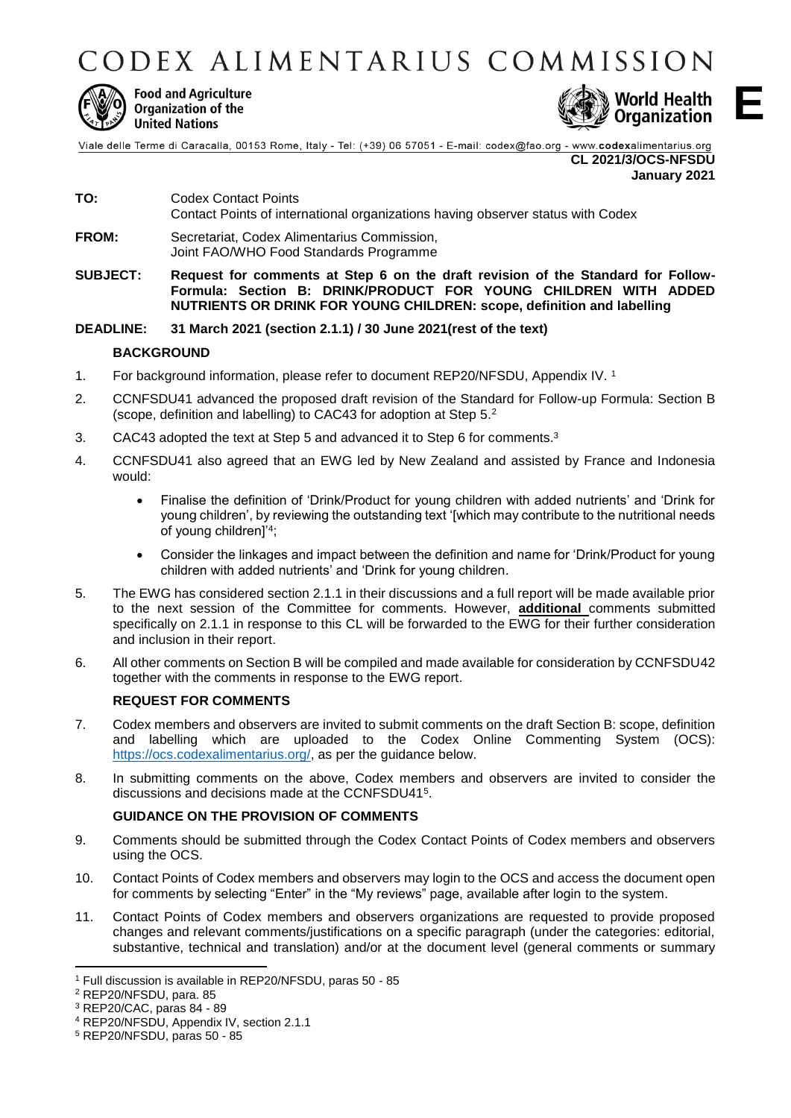CODEX ALIMENTARIUS COMMISSION



**Food and Agriculture** Organization of the **United Nations** 



**E**

Viale delle Terme di Caracalla, 00153 Rome, Italy - Tel: (+39) 06 57051 - E-mail: codex@fao.org - www.codexalimentarius.org **CL 2021/3/OCS-NFSDU**

**January 2021**

- **TO:** Codex Contact Points Contact Points of international organizations having observer status with Codex
- **FROM:** Secretariat, Codex Alimentarius Commission, Joint FAO/WHO Food Standards Programme
- **SUBJECT: Request for comments at Step 6 on the draft revision of the Standard for Follow-Formula: Section B: DRINK/PRODUCT FOR YOUNG CHILDREN WITH ADDED NUTRIENTS OR DRINK FOR YOUNG CHILDREN: scope, definition and labelling**

## **DEADLINE: 31 March 2021 (section 2.1.1) / 30 June 2021(rest of the text)**

## **BACKGROUND**

- 1. For background information, please refer to document REP20/NFSDU, Appendix IV. 1
- 2. CCNFSDU41 advanced the proposed draft revision of the Standard for Follow-up Formula: Section B (scope, definition and labelling) to CAC43 for adoption at Step 5.<sup>2</sup>
- 3. CAC43 adopted the text at Step 5 and advanced it to Step 6 for comments.<sup>3</sup>
- 4. CCNFSDU41 also agreed that an EWG led by New Zealand and assisted by France and Indonesia would:
	- Finalise the definition of 'Drink/Product for young children with added nutrients' and 'Drink for young children', by reviewing the outstanding text '[which may contribute to the nutritional needs of young children]'<sup>4</sup> ;
	- Consider the linkages and impact between the definition and name for 'Drink/Product for young children with added nutrients' and 'Drink for young children.
- 5. The EWG has considered section 2.1.1 in their discussions and a full report will be made available prior to the next session of the Committee for comments. However, **additional** comments submitted specifically on 2.1.1 in response to this CL will be forwarded to the EWG for their further consideration and inclusion in their report.
- 6. All other comments on Section B will be compiled and made available for consideration by CCNFSDU42 together with the comments in response to the EWG report.

## **REQUEST FOR COMMENTS**

- 7. Codex members and observers are invited to submit comments on the draft Section B: scope, definition and labelling which are uploaded to the Codex Online Commenting System (OCS): [https://ocs.codexalimentarius.org/,](https://ocs.codexalimentarius.org/) as per the guidance below.
- 8. In submitting comments on the above, Codex members and observers are invited to consider the discussions and decisions made at the CCNFSDU41<sup>5</sup>.

## **GUIDANCE ON THE PROVISION OF COMMENTS**

- 9. Comments should be submitted through the Codex Contact Points of Codex members and observers using the OCS.
- 10. Contact Points of Codex members and observers may login to the OCS and access the document open for comments by selecting "Enter" in the "My reviews" page, available after login to the system.
- 11. Contact Points of Codex members and observers organizations are requested to provide proposed changes and relevant comments/justifications on a specific paragraph (under the categories: editorial, substantive, technical and translation) and/or at the document level (general comments or summary

**.** 

<sup>1</sup> Full discussion is available in REP20/NFSDU, paras 50 - 85

<sup>2</sup> REP20/NFSDU, para. 85

<sup>3</sup> REP20/CAC, paras 84 - 89

<sup>4</sup> REP20/NFSDU, Appendix IV, section 2.1.1

<sup>5</sup> REP20/NFSDU, paras 50 - 85